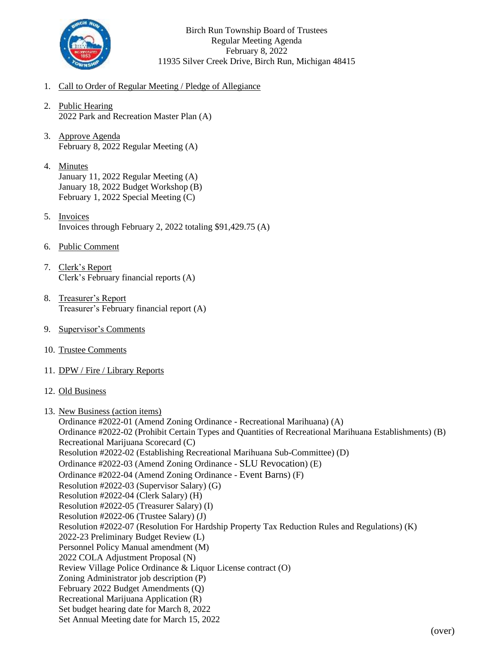

Birch Run Township Board of Trustees Regular Meeting Agenda February 8, 2022 11935 Silver Creek Drive, Birch Run, Michigan 48415

- 1. Call to Order of Regular Meeting / Pledge of Allegiance
- 2. Public Hearing 2022 Park and Recreation Master Plan (A)
- 3. Approve Agenda February 8, 2022 Regular Meeting (A)
- 4. Minutes January 11, 2022 Regular Meeting (A) January 18, 2022 Budget Workshop (B) February 1, 2022 Special Meeting (C)
- 5. Invoices Invoices through February 2, 2022 totaling \$91,429.75 (A)
- 6. Public Comment
- 7. Clerk's Report Clerk's February financial reports (A)
- 8. Treasurer's Report Treasurer's February financial report (A)
- 9. Supervisor's Comments
- 10. Trustee Comments
- 11. DPW / Fire / Library Reports
- 12. Old Business
- 13. New Business (action items)

Ordinance #2022-01 (Amend Zoning Ordinance - Recreational Marihuana) (A) Ordinance #2022-02 (Prohibit Certain Types and Quantities of Recreational Marihuana Establishments) (B) Recreational Marijuana Scorecard (C) Resolution #2022-02 (Establishing Recreational Marihuana Sub-Committee) (D) Ordinance #2022-03 (Amend Zoning Ordinance - SLU Revocation) (E) Ordinance #2022-04 (Amend Zoning Ordinance - Event Barns) (F) Resolution #2022-03 (Supervisor Salary) (G) Resolution #2022-04 (Clerk Salary) (H) Resolution #2022-05 (Treasurer Salary) (I) Resolution #2022-06 (Trustee Salary) (J) Resolution #2022-07 (Resolution For Hardship Property Tax Reduction Rules and Regulations) (K) 2022-23 Preliminary Budget Review (L) Personnel Policy Manual amendment (M) 2022 COLA Adjustment Proposal (N) Review Village Police Ordinance & Liquor License contract (O) Zoning Administrator job description (P) February 2022 Budget Amendments (Q) Recreational Marijuana Application (R) Set budget hearing date for March 8, 2022 Set Annual Meeting date for March 15, 2022